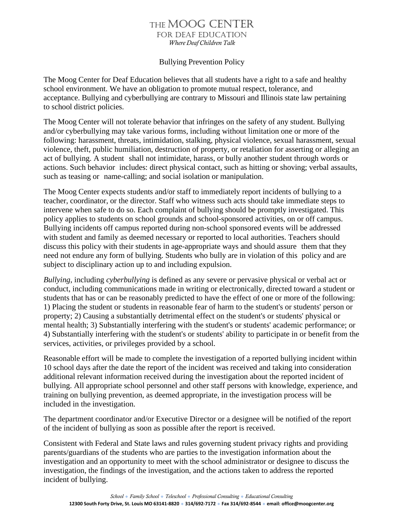## The Moog CenTer for Deaf eDuCaTion *Where Deaf Children Talk*

## Bullying Prevention Policy

The Moog Center for Deaf Education believes that all students have a right to a safe and healthy school environment. We have an obligation to promote mutual respect, tolerance, and acceptance. Bullying and cyberbullying are contrary to Missouri and Illinois state law pertaining to school district policies.

The Moog Center will not tolerate behavior that infringes on the safety of any student. Bullying and/or cyberbullying may take various forms, including without limitation one or more of the following: harassment, threats, intimidation, stalking, physical violence, sexual harassment, sexual violence, theft, public humiliation, destruction of property, or retaliation for asserting or alleging an act of bullying. A student shall not intimidate, harass, or bully another student through words or actions. Such behavior includes: direct physical contact, such as hitting or shoving; verbal assaults, such as teasing or name-calling; and social isolation or manipulation.

The Moog Center expects students and/or staff to immediately report incidents of bullying to a teacher, coordinator, or the director. Staff who witness such acts should take immediate steps to intervene when safe to do so. Each complaint of bullying should be promptly investigated. This policy applies to students on school grounds and school-sponsored activities, on or off campus. Bullying incidents off campus reported during non-school sponsored events will be addressed with student and family as deemed necessary or reported to local authorities. Teachers should discuss this policy with their students in age-appropriate ways and should assure them that they need not endure any form of bullying. Students who bully are in violation of this policy and are subject to disciplinary action up to and including expulsion.

*Bullying*, including *cyberbullying* is defined as any severe or pervasive physical or verbal act or conduct, including communications made in writing or electronically, directed toward a student or students that has or can be reasonably predicted to have the effect of one or more of the following: 1) Placing the student or students in reasonable fear of harm to the student's or students' person or property; 2) Causing a substantially detrimental effect on the student's or students' physical or mental health; 3) Substantially interfering with the student's or students' academic performance; or 4) Substantially interfering with the student's or students' ability to participate in or benefit from the services, activities, or privileges provided by a school.

Reasonable effort will be made to complete the investigation of a reported bullying incident within 10 school days after the date the report of the incident was received and taking into consideration additional relevant information received during the investigation about the reported incident of bullying. All appropriate school personnel and other staff persons with knowledge, experience, and training on bullying prevention, as deemed appropriate, in the investigation process will be included in the investigation.

The department coordinator and/or Executive Director or a designee will be notified of the report of the incident of bullying as soon as possible after the report is received.

Consistent with Federal and State laws and rules governing student privacy rights and providing parents/guardians of the students who are parties to the investigation information about the investigation and an opportunity to meet with the school administrator or designee to discuss the investigation, the findings of the investigation, and the actions taken to address the reported incident of bullying.